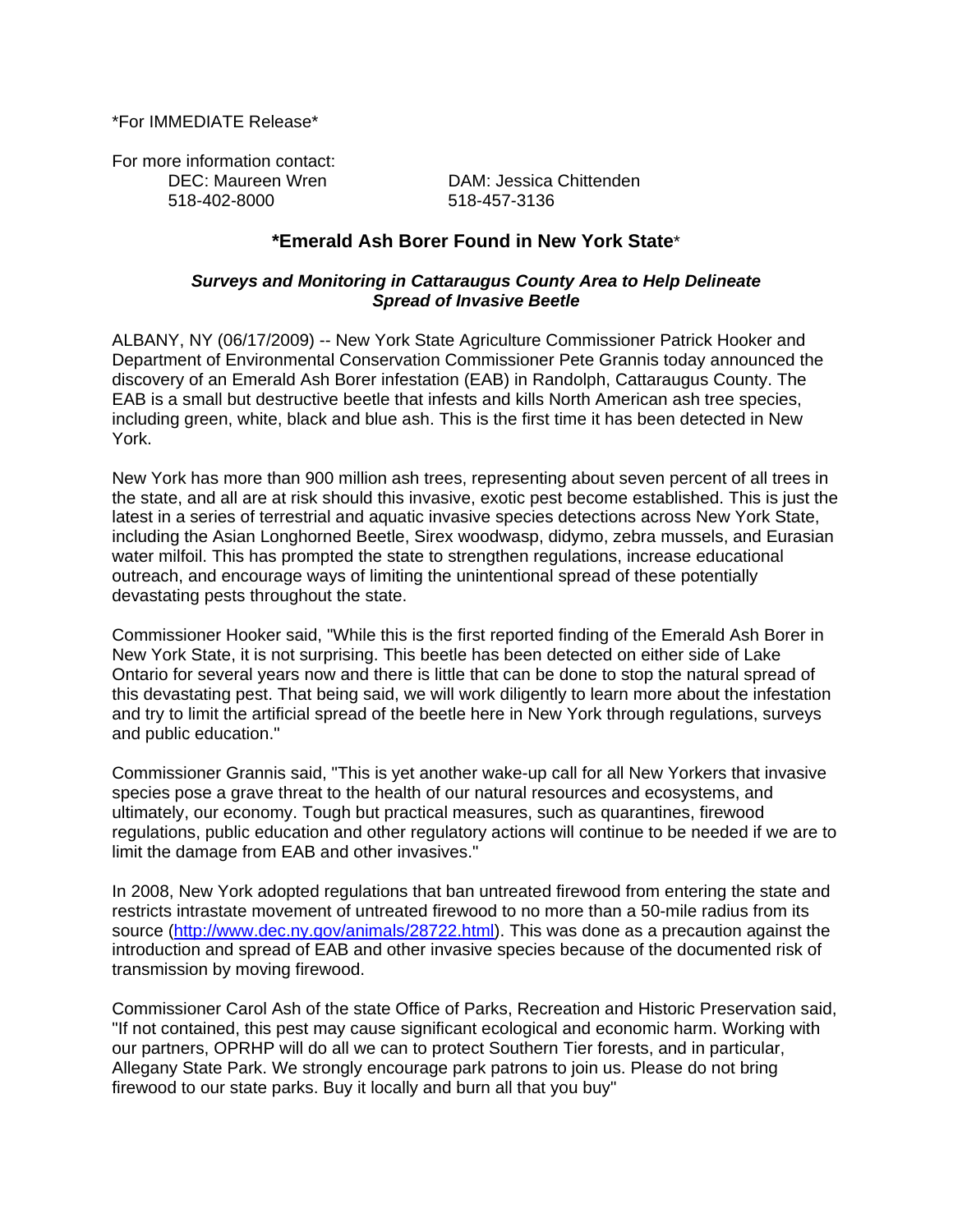\*For IMMEDIATE Release\*

For more information contact: 518-402-8000 518-457-3136

DEC: Maureen Wren DAM: Jessica Chittenden

# **\*Emerald Ash Borer Found in New York State**\*

### *Surveys and Monitoring in Cattaraugus County Area to Help Delineate Spread of Invasive Beetle*

ALBANY, NY (06/17/2009) -- New York State Agriculture Commissioner Patrick Hooker and Department of Environmental Conservation Commissioner Pete Grannis today announced the discovery of an Emerald Ash Borer infestation (EAB) in Randolph, Cattaraugus County. The EAB is a small but destructive beetle that infests and kills North American ash tree species, including green, white, black and blue ash. This is the first time it has been detected in New York.

New York has more than 900 million ash trees, representing about seven percent of all trees in the state, and all are at risk should this invasive, exotic pest become established. This is just the latest in a series of terrestrial and aquatic invasive species detections across New York State, including the Asian Longhorned Beetle, Sirex woodwasp, didymo, zebra mussels, and Eurasian water milfoil. This has prompted the state to strengthen regulations, increase educational outreach, and encourage ways of limiting the unintentional spread of these potentially devastating pests throughout the state.

Commissioner Hooker said, "While this is the first reported finding of the Emerald Ash Borer in New York State, it is not surprising. This beetle has been detected on either side of Lake Ontario for several years now and there is little that can be done to stop the natural spread of this devastating pest. That being said, we will work diligently to learn more about the infestation and try to limit the artificial spread of the beetle here in New York through regulations, surveys and public education."

Commissioner Grannis said, "This is yet another wake-up call for all New Yorkers that invasive species pose a grave threat to the health of our natural resources and ecosystems, and ultimately, our economy. Tough but practical measures, such as quarantines, firewood regulations, public education and other regulatory actions will continue to be needed if we are to limit the damage from EAB and other invasives."

In 2008, New York adopted regulations that ban untreated firewood from entering the state and restricts intrastate movement of untreated firewood to no more than a 50-mile radius from its source ([http://www.dec.ny.gov/animals/28722.html\)](http://www.dec.ny.gov/animals/28722.html). This was done as a precaution against the introduction and spread of EAB and other invasive species because of the documented risk of transmission by moving firewood.

Commissioner Carol Ash of the state Office of Parks, Recreation and Historic Preservation said, "If not contained, this pest may cause significant ecological and economic harm. Working with our partners, OPRHP will do all we can to protect Southern Tier forests, and in particular, Allegany State Park. We strongly encourage park patrons to join us. Please do not bring firewood to our state parks. Buy it locally and burn all that you buy"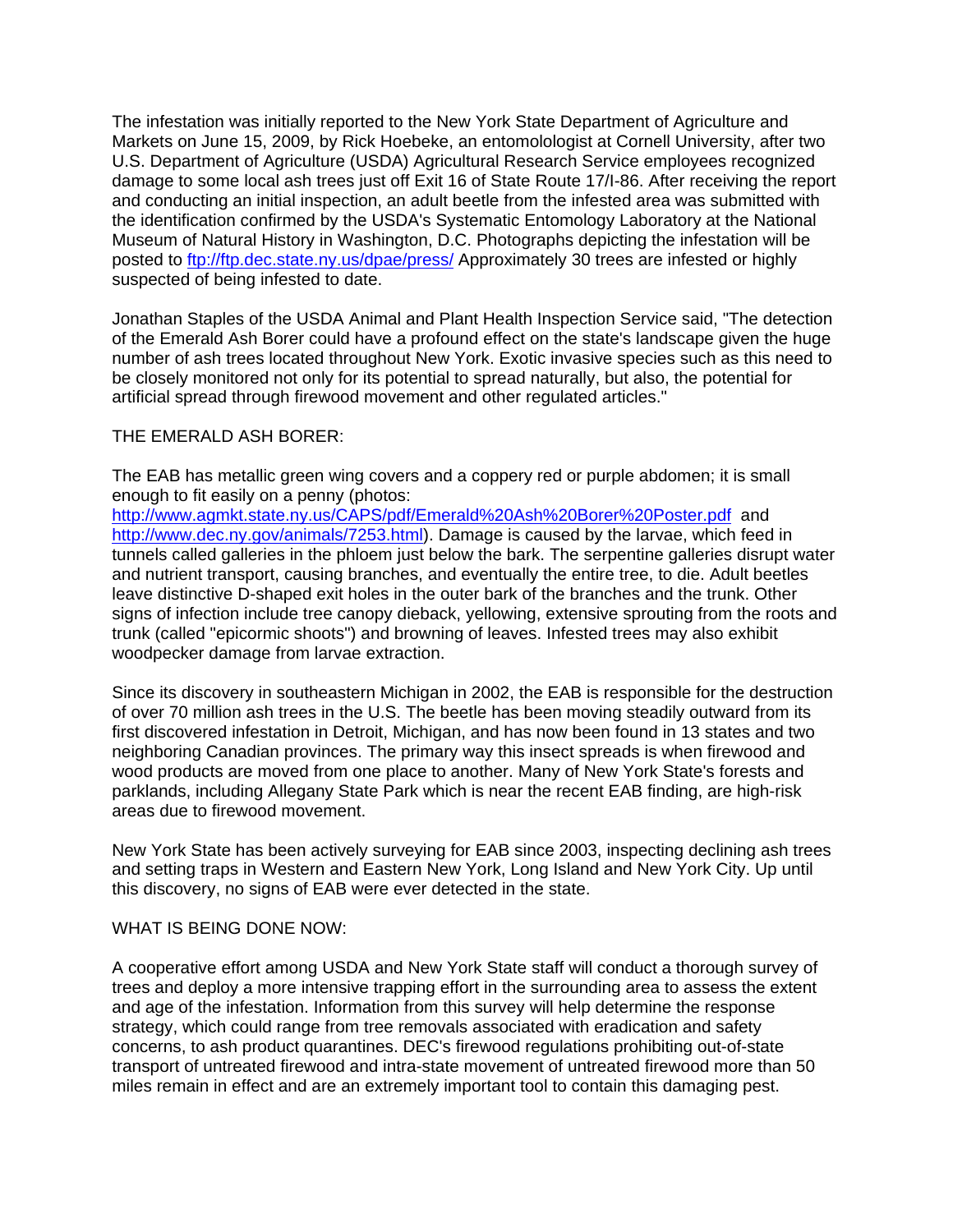The infestation was initially reported to the New York State Department of Agriculture and Markets on June 15, 2009, by Rick Hoebeke, an entomolologist at Cornell University, after two U.S. Department of Agriculture (USDA) Agricultural Research Service employees recognized damage to some local ash trees just off Exit 16 of State Route 17/I-86. After receiving the report and conducting an initial inspection, an adult beetle from the infested area was submitted with the identification confirmed by the USDA's Systematic Entomology Laboratory at the National Museum of Natural History in Washington, D.C. Photographs depicting the infestation will be posted to<ftp://ftp.dec.state.ny.us/dpae/press/>Approximately 30 trees are infested or highly suspected of being infested to date.

Jonathan Staples of the USDA Animal and Plant Health Inspection Service said, "The detection of the Emerald Ash Borer could have a profound effect on the state's landscape given the huge number of ash trees located throughout New York. Exotic invasive species such as this need to be closely monitored not only for its potential to spread naturally, but also, the potential for artificial spread through firewood movement and other regulated articles."

## THE EMERALD ASH BORER:

The EAB has metallic green wing covers and a coppery red or purple abdomen; it is small enough to fit easily on a penny (photos:

<http://www.agmkt.state.ny.us/CAPS/pdf/Emerald%20Ash%20Borer%20Poster.pdf> and [http://www.dec.ny.gov/animals/7253.html\)](http://www.dec.ny.gov/animals/7253.html). Damage is caused by the larvae, which feed in tunnels called galleries in the phloem just below the bark. The serpentine galleries disrupt water and nutrient transport, causing branches, and eventually the entire tree, to die. Adult beetles leave distinctive D-shaped exit holes in the outer bark of the branches and the trunk. Other signs of infection include tree canopy dieback, yellowing, extensive sprouting from the roots and trunk (called "epicormic shoots") and browning of leaves. Infested trees may also exhibit woodpecker damage from larvae extraction.

Since its discovery in southeastern Michigan in 2002, the EAB is responsible for the destruction of over 70 million ash trees in the U.S. The beetle has been moving steadily outward from its first discovered infestation in Detroit, Michigan, and has now been found in 13 states and two neighboring Canadian provinces. The primary way this insect spreads is when firewood and wood products are moved from one place to another. Many of New York State's forests and parklands, including Allegany State Park which is near the recent EAB finding, are high-risk areas due to firewood movement.

New York State has been actively surveying for EAB since 2003, inspecting declining ash trees and setting traps in Western and Eastern New York, Long Island and New York City. Up until this discovery, no signs of EAB were ever detected in the state.

#### WHAT IS BEING DONE NOW:

A cooperative effort among USDA and New York State staff will conduct a thorough survey of trees and deploy a more intensive trapping effort in the surrounding area to assess the extent and age of the infestation. Information from this survey will help determine the response strategy, which could range from tree removals associated with eradication and safety concerns, to ash product quarantines. DEC's firewood regulations prohibiting out-of-state transport of untreated firewood and intra-state movement of untreated firewood more than 50 miles remain in effect and are an extremely important tool to contain this damaging pest.